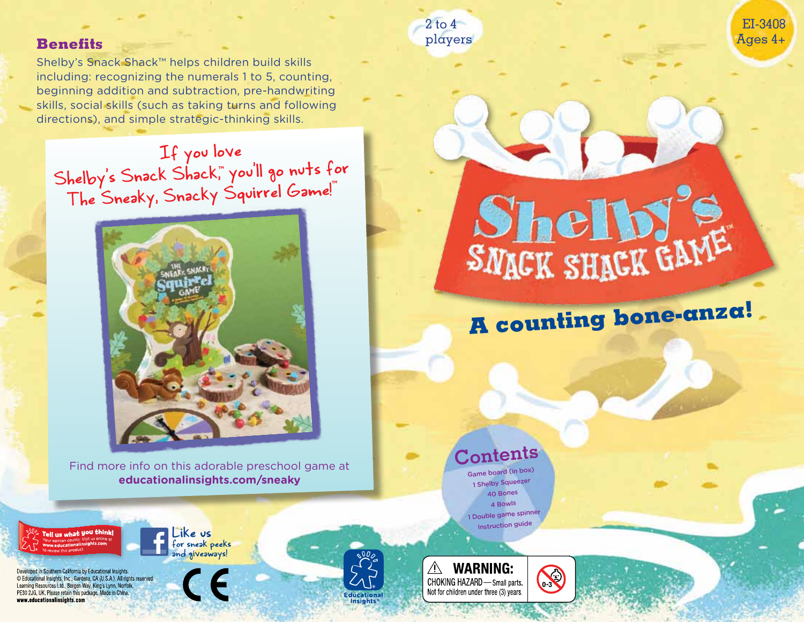#### **Benefits**

Tell us what you think!

Developed in Southern California by Educational Insights. C Educational Insights, Inc., Gardena, CA (U.S.A.). All rights reserved.

Learning Resources Ltd., Bergen Way, King's Lynn, Norfolk,

PE30 2JG. UK. Please retain this package. Made in China.

www.educationalinsights.com

Shelby's Snack Shack™ helps children build skills including: recognizing the numerals 1 to 5, counting, beginning addition and subtraction, pre-handwriting skills, social skills (such as taking turns and following directions), and simple strategic-thinking skills.

If you love Shelby's Snack Shack,™ you'll go nuts for The Sneaky, Snacky Squirrel Game!™



Find more info on this adorable preschool game at **educationalinsights.com/sneaky**

Like us

for sneak peeks and giveaways!



EI-3408 Ages 4+

# **Contents**

**A counting bone-anza!**

Shelb!

Game board (in box) 1 Shelby Squeezer 40 Bones 4 Bowls 1 Double game spinner Instruction guide



S